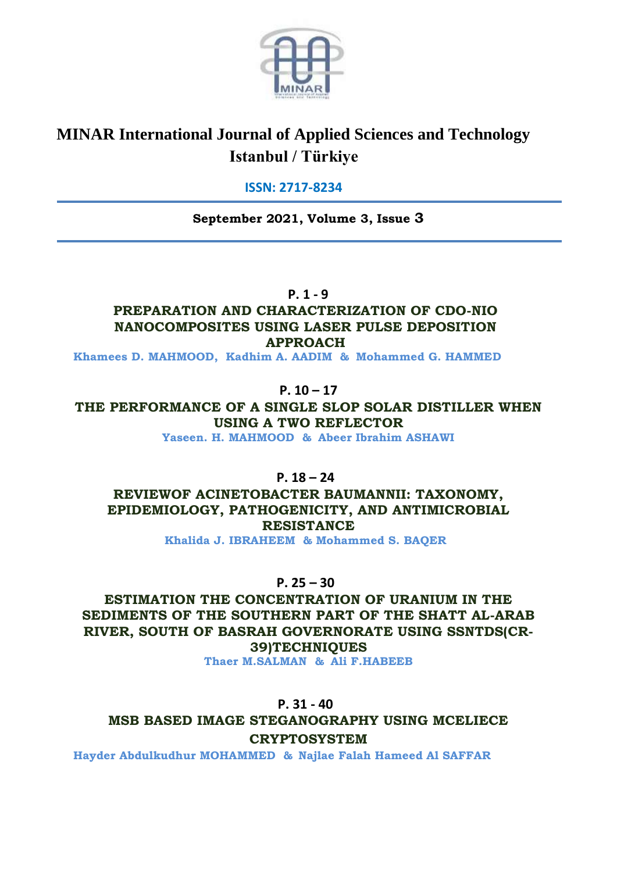

# **MINAR International Journal of Applied Sciences and Technology Istanbul / Türkiye**

# **ISSN: 2717-8234**

**September 2021, Volume 3, Issue 3**

**P. 1 - 9**

# **PREPARATION AND CHARACTERIZATION OF CDO-NIO NANOCOMPOSITES USING LASER PULSE DEPOSITION APPROACH**

**Khamees D. MAHMOOD, Kadhim A. AADIM & Mohammed G. HAMMED**

# **P. 10 – 17**

**THE PERFORMANCE OF A SINGLE SLOP SOLAR DISTILLER WHEN USING A TWO REFLECTOR**

**Yaseen. H. MAHMOOD & Abeer Ibrahim ASHAWI**

**P. 18 – 24**

**REVIEWOF ACINETOBACTER BAUMANNII: TAXONOMY, EPIDEMIOLOGY, PATHOGENICITY, AND ANTIMICROBIAL RESISTANCE**

**Khalida J. IBRAHEEM & Mohammed S. BAQER**

**P. 25 – 30**

**ESTIMATION THE CONCENTRATION OF URANIUM IN THE SEDIMENTS OF THE SOUTHERN PART OF THE SHATT AL-ARAB RIVER, SOUTH OF BASRAH GOVERNORATE USING SSNTDS(CR-39)TECHNIQUES**

**Thaer M.SALMAN & Ali F.HABEEB**

**P. 31 - 40**

**MSB BASED IMAGE STEGANOGRAPHY USING MCELIECE CRYPTOSYSTEM**

**Hayder Abdulkudhur MOHAMMED & Najlae Falah Hameed Al SAFFAR**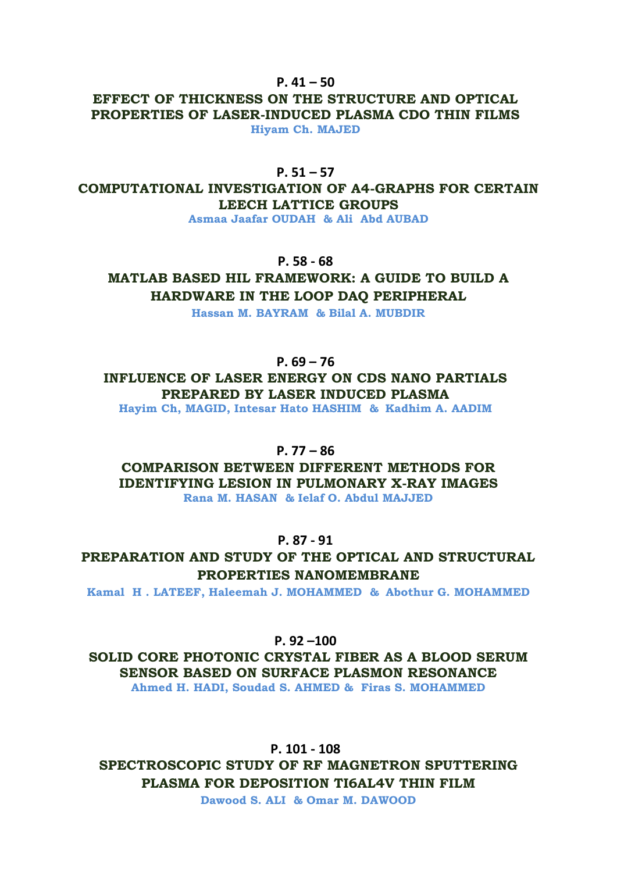#### **P. 41 – 50**

#### **EFFECT OF THICKNESS ON THE STRUCTURE AND OPTICAL PROPERTIES OF LASER-INDUCED PLASMA CDO THIN FILMS Hiyam Ch. MAJED**

#### **P. 51 – 57**

**COMPUTATIONAL INVESTIGATION OF A4-GRAPHS FOR CERTAIN LEECH LATTICE GROUPS**

**Asmaa Jaafar OUDAH & Ali Abd AUBAD**

#### **P. 58 - 68**

**MATLAB BASED HIL FRAMEWORK: A GUIDE TO BUILD A HARDWARE IN THE LOOP DAQ PERIPHERAL**

**Hassan M. BAYRAM & Bilal A. MUBDIR**

#### **P. 69 – 76**

**INFLUENCE OF LASER ENERGY ON CDS NANO PARTIALS PREPARED BY LASER INDUCED PLASMA** 

**Hayim Ch, MAGID, Intesar Hato HASHIM & Kadhim A. AADIM**

#### **P. 77 – 86**

**COMPARISON BETWEEN DIFFERENT METHODS FOR IDENTIFYING LESION IN PULMONARY X-RAY IMAGES**

**Rana M. HASAN & Ielaf O. Abdul MAJJED**

#### **P. 87 - 91**

**PREPARATION AND STUDY OF THE OPTICAL AND STRUCTURAL PROPERTIES NANOMEMBRANE**

**Kamal H . LATEEF, Haleemah J. MOHAMMED & Abothur G. MOHAMMED**

**P. 92 –100**

**SOLID CORE PHOTONIC CRYSTAL FIBER AS A BLOOD SERUM SENSOR BASED ON SURFACE PLASMON RESONANCE Ahmed H. HADI, Soudad S. AHMED & Firas S. MOHAMMED**

**P. 101 - 108**

**SPECTROSCOPIC STUDY OF RF MAGNETRON SPUTTERING PLASMA FOR DEPOSITION TI6AL4V THIN FILM** 

**Dawood S. ALI & Omar M. DAWOOD**